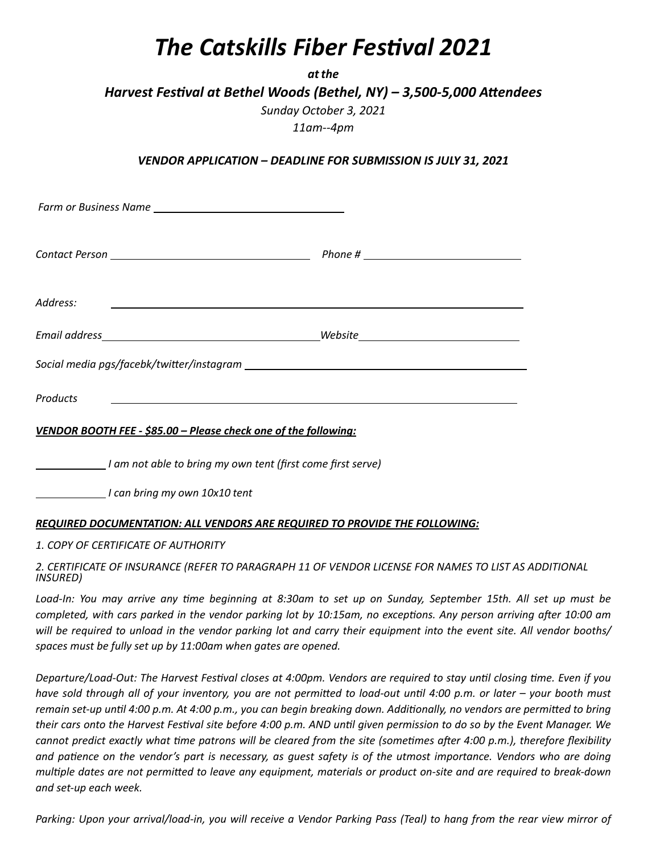## *The Catskills Fiber Festival 2021*

*atthe*

*Harvest Festival at Bethel Woods (Bethel, NY) – 3,500-5,000 Attendees* 

*Sunday October 3, 2021 11am--4pm* 

*VENDOR APPLICATION – DEADLINE FOR SUBMISSION IS JULY 31, 2021* 

| Address:<br>the contract of the contract of the contract of the contract of the contract of the contract of |  |
|-------------------------------------------------------------------------------------------------------------|--|
|                                                                                                             |  |
|                                                                                                             |  |
| Products<br><u> 1989 - Johann Stein, mars and de Brazilian (b. 1989)</u>                                    |  |
| VENDOR BOOTH FEE - \$85.00 - Please check one of the following:                                             |  |

 *I am not able to bring my own tent (first come first serve)* 

 *I can bring my own 10x10 tent* 

## *REQUIRED DOCUMENTATION: ALL VENDORS ARE REQUIRED TO PROVIDE THE FOLLOWING:*

*1. COPY OF CERTIFICATE OF AUTHORITY* 

*2. CERTIFICATE OF INSURANCE (REFER TO PARAGRAPH 11 OF VENDOR LICENSE FOR NAMES TO LIST AS ADDITIONAL INSURED)* 

Load-In: You may arrive any time beginning at 8:30am to set up on Sunday, September 15th. All set up must be *completed, with cars parked in the vendor parking lot by 10:15am, no exceptions. Any person arriving after 10:00 am will be required to unload in the vendor parking lot and carry their equipment into the event site. All vendor booths/ spaces must be fully set up by 11:00am when gates are opened.* 

*Departure/Load-Out: The Harvest Festival closes at 4:00pm. Vendors are required to stay until closing time. Even if you* have sold through all of your inventory, you are not permitted to load-out until 4:00 p.m. or later – your booth must remain set-up until 4:00 p.m. At 4:00 p.m., you can begin breaking down. Additionally, no vendors are permitted to bring *their cars onto the Harvest Festival site before 4:00 p.m. AND until given permission to do so by the Event Manager. We cannot predict exactly what time patrons will be cleared from the site (sometimes after 4:00 p.m.), therefore flexibility and pa^ence on the vendor's part is necessary, as guest safety is of the utmost importance. Vendors who are doing multiple dates are not permitted to leave any equipment, materials or product on-site and are required to break-down and set-up each week.* 

*Parking: Upon your arrival/load-in, you will receive a Vendor Parking Pass (Teal) to hang from the rear view mirror of*